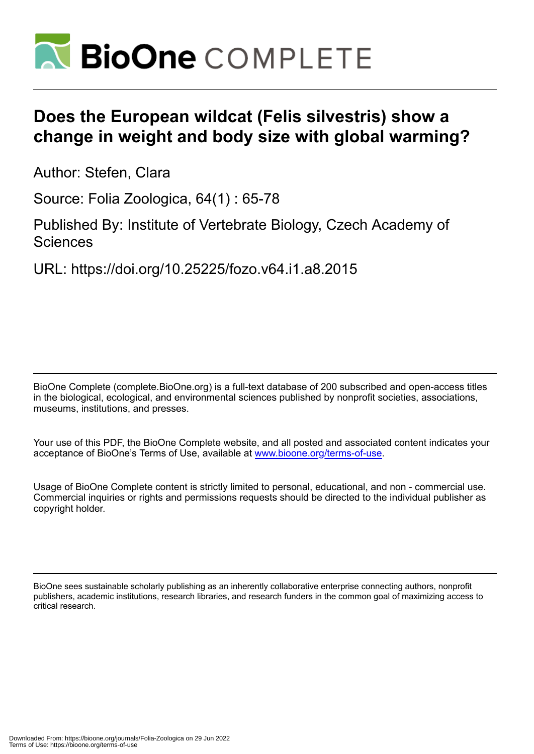

# **Does the European wildcat (Felis silvestris) show a change in weight and body size with global warming?**

Author: Stefen, Clara

Source: Folia Zoologica, 64(1) : 65-78

Published By: Institute of Vertebrate Biology, Czech Academy of **Sciences** 

URL: https://doi.org/10.25225/fozo.v64.i1.a8.2015

BioOne Complete (complete.BioOne.org) is a full-text database of 200 subscribed and open-access titles in the biological, ecological, and environmental sciences published by nonprofit societies, associations, museums, institutions, and presses.

Your use of this PDF, the BioOne Complete website, and all posted and associated content indicates your acceptance of BioOne's Terms of Use, available at www.bioone.org/terms-of-use.

Usage of BioOne Complete content is strictly limited to personal, educational, and non - commercial use. Commercial inquiries or rights and permissions requests should be directed to the individual publisher as copyright holder.

BioOne sees sustainable scholarly publishing as an inherently collaborative enterprise connecting authors, nonprofit publishers, academic institutions, research libraries, and research funders in the common goal of maximizing access to critical research.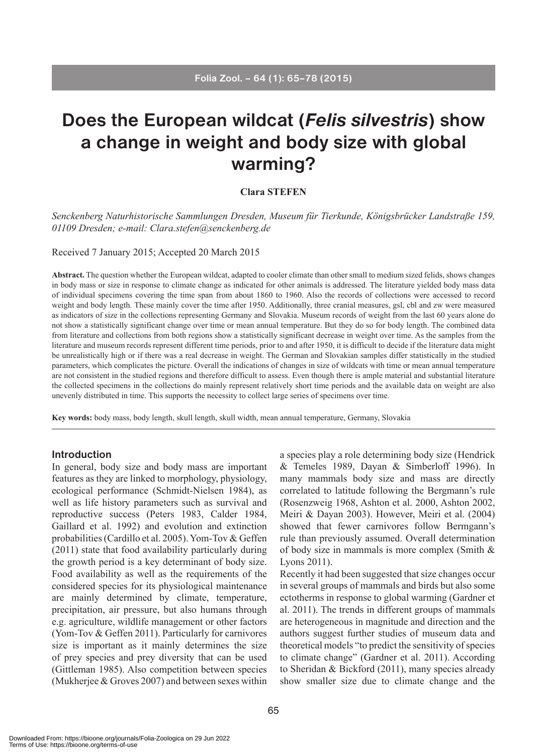# **Does the European wildcat (***Felis silvestris***) show a change in weight and body size with global warming?**

# **Clara STEFEN**

*Senckenberg Naturhistorische Sammlungen Dresden, Museum für Tierkunde, Königsbrücker Landstraße 159, 01109 Dresden; e-mail: Clara.stefen@senckenberg.de*

Received 7 January 2015; Accepted 20 March 2015

**Abstract.** The question whether the European wildcat, adapted to cooler climate than other small to medium sized felids, shows changes in body mass or size in response to climate change as indicated for other animals is addressed. The literature yielded body mass data of individual specimens covering the time span from about 1860 to 1960. Also the records of collections were accessed to record weight and body length. These mainly cover the time after 1950. Additionally, three cranial measures, gsl, cbl and zw were measured as indicators of size in the collections representing Germany and Slovakia. Museum records of weight from the last 60 years alone do not show a statistically significant change over time or mean annual temperature. But they do so for body length. The combined data from literature and collections from both regions show a statistically significant decrease in weight over time. As the samples from the literature and museum records represent different time periods, prior to and after 1950, it is difficult to decide if the literature data might be unrealistically high or if there was a real decrease in weight. The German and Slovakian samples differ statistically in the studied parameters, which complicates the picture. Overall the indications of changes in size of wildcats with time or mean annual temperature are not consistent in the studied regions and therefore difficult to assess. Even though there is ample material and substantial literature the collected specimens in the collections do mainly represent relatively short time periods and the available data on weight are also unevenly distributed in time. This supports the necessity to collect large series of specimens over time.

**Key words:** body mass, body length, skull length, skull width, mean annual temperature, Germany, Slovakia

#### **Introduction**

In general, body size and body mass are important features as they are linked to morphology, physiology, ecological performance (Schmidt-Nielsen 1984), as well as life history parameters such as survival and reproductive success (Peters 1983, Calder 1984, Gaillard et al. 1992) and evolution and extinction probabilities (Cardillo et al. 2005). Yom-Tov & Geffen (2011) state that food availability particularly during the growth period is a key determinant of body size. Food availability as well as the requirements of the considered species for its physiological maintenance are mainly determined by climate, temperature, precipitation, air pressure, but also humans through e.g. agriculture, wildlife management or other factors (Yom-Tov & Geffen 2011). Particularly for carnivores size is important as it mainly determines the size of prey species and prey diversity that can be used (Gittleman 1985). Also competition between species (Mukherjee & Groves 2007) and between sexes within a species play a role determining body size (Hendrick & Temeles 1989, Dayan & Simberloff 1996). In many mammals body size and mass are directly correlated to latitude following the Bergmann's rule (Rosenzweig 1968, Ashton et al. 2000, Ashton 2002, Meiri & Dayan 2003). However, Meiri et al. (2004) showed that fewer carnivores follow Bermgann's rule than previously assumed. Overall determination of body size in mammals is more complex (Smith & Lyons 2011).

Recently it had been suggested that size changes occur in several groups of mammals and birds but also some ectotherms in response to global warming (Gardner et al. 2011). The trends in different groups of mammals are heterogeneous in magnitude and direction and the authors suggest further studies of museum data and theoretical models "to predict the sensitivity of species to climate change" (Gardner et al. 2011). According to Sheridan & Bickford (2011), many species already show smaller size due to climate change and the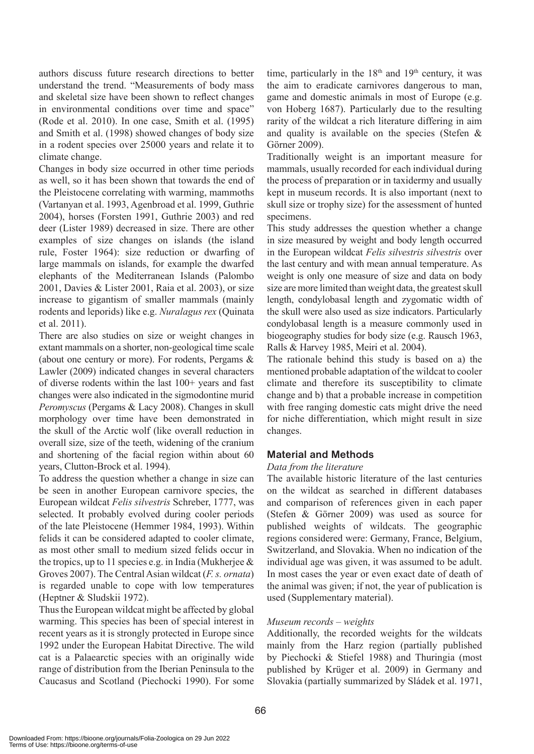authors discuss future research directions to better understand the trend. "Measurements of body mass and skeletal size have been shown to reflect changes in environmental conditions over time and space" (Rode et al. 2010). In one case, Smith et al. (1995) and Smith et al. (1998) showed changes of body size in a rodent species over 25000 years and relate it to climate change.

Changes in body size occurred in other time periods as well, so it has been shown that towards the end of the Pleistocene correlating with warming, mammoths (Vartanyan et al. 1993, Agenbroad et al. 1999, Guthrie 2004), horses (Forsten 1991, Guthrie 2003) and red deer (Lister 1989) decreased in size. There are other examples of size changes on islands (the island rule, Foster 1964): size reduction or dwarfing of large mammals on islands, for example the dwarfed elephants of the Mediterranean Islands (Palombo 2001, Davies & Lister 2001, Raia et al. 2003), or size increase to gigantism of smaller mammals (mainly rodents and leporids) like e.g. *Nuralagus rex* (Quinata et al. 2011).

There are also studies on size or weight changes in extant mammals on a shorter, non-geological time scale (about one century or more). For rodents, Pergams & Lawler (2009) indicated changes in several characters of diverse rodents within the last 100+ years and fast changes were also indicated in the sigmodontine murid *Peromyscus* (Pergams & Lacy 2008). Changes in skull morphology over time have been demonstrated in the skull of the Arctic wolf (like overall reduction in overall size, size of the teeth, widening of the cranium and shortening of the facial region within about 60 years, Clutton-Brock et al. 1994).

To address the question whether a change in size can be seen in another European carnivore species, the European wildcat *Felis silvestris* Schreber, 1777, was selected. It probably evolved during cooler periods of the late Pleistocene (Hemmer 1984, 1993). Within felids it can be considered adapted to cooler climate, as most other small to medium sized felids occur in the tropics, up to 11 species e.g. in India (Mukherjee  $\&$ Groves 2007). The Central Asian wildcat (*F. s. ornata*) is regarded unable to cope with low temperatures (Heptner & Sludskii 1972).

Thus the European wildcat might be affected by global warming. This species has been of special interest in recent years as it is strongly protected in Europe since 1992 under the European Habitat Directive. The wild cat is a Palaearctic species with an originally wide range of distribution from the Iberian Peninsula to the Caucasus and Scotland (Piechocki 1990). For some time, particularly in the  $18<sup>th</sup>$  and  $19<sup>th</sup>$  century, it was the aim to eradicate carnivores dangerous to man, game and domestic animals in most of Europe (e.g. von Hoberg 1687). Particularly due to the resulting rarity of the wildcat a rich literature differing in aim and quality is available on the species (Stefen & Görner 2009).

Traditionally weight is an important measure for mammals, usually recorded for each individual during the process of preparation or in taxidermy and usually kept in museum records. It is also important (next to skull size or trophy size) for the assessment of hunted specimens.

This study addresses the question whether a change in size measured by weight and body length occurred in the European wildcat *Felis silvestris silvestris* over the last century and with mean annual temperature. As weight is only one measure of size and data on body size are more limited than weight data, the greatest skull length, condylobasal length and zygomatic width of the skull were also used as size indicators. Particularly condylobasal length is a measure commonly used in biogeography studies for body size (e.g. Rausch 1963, Ralls & Harvey 1985, Meiri et al. 2004).

The rationale behind this study is based on a) the mentioned probable adaptation of the wildcat to cooler climate and therefore its susceptibility to climate change and b) that a probable increase in competition with free ranging domestic cats might drive the need for niche differentiation, which might result in size changes.

# **Material and Methods**

# *Data from the literature*

The available historic literature of the last centuries on the wildcat as searched in different databases and comparison of references given in each paper (Stefen & Görner 2009) was used as source for published weights of wildcats. The geographic regions considered were: Germany, France, Belgium, Switzerland, and Slovakia. When no indication of the individual age was given, it was assumed to be adult. In most cases the year or even exact date of death of the animal was given; if not, the year of publication is used (Supplementary material).

# *Museum records – weights*

Additionally, the recorded weights for the wildcats mainly from the Harz region (partially published by Piechocki & Stiefel 1988) and Thuringia (most published by Krüger et al. 2009) in Germany and Slovakia (partially summarized by Sládek et al. 1971,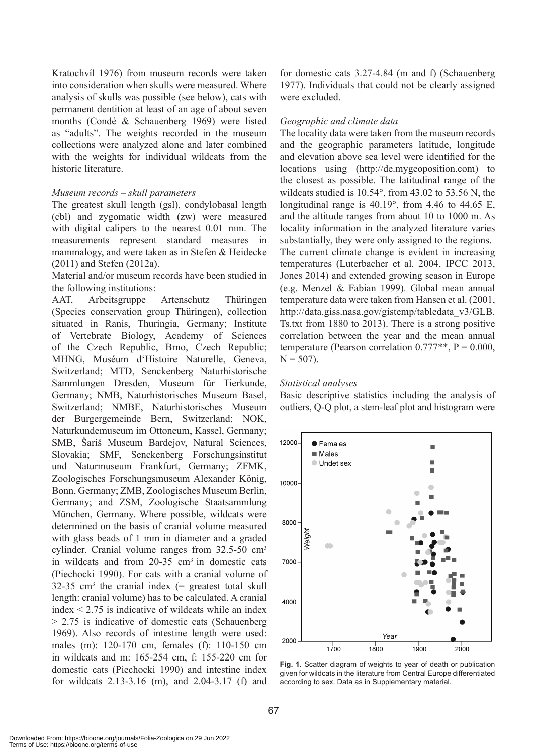Kratochvíl 1976) from museum records were taken into consideration when skulls were measured. Where analysis of skulls was possible (see below), cats with permanent dentition at least of an age of about seven months (Condé & Schauenberg 1969) were listed as "adults". The weights recorded in the museum collections were analyzed alone and later combined with the weights for individual wildcats from the historic literature.

## *Museum records – skull parameters*

The greatest skull length (gsl), condylobasal length (cbl) and zygomatic width (zw) were measured with digital calipers to the nearest 0.01 mm. The measurements represent standard measures in mammalogy, and were taken as in Stefen & Heidecke (2011) and Stefen (2012a).

Material and/or museum records have been studied in the following institutions:

AAT, Arbeitsgruppe Artenschutz Thüringen (Species conservation group Thüringen), collection situated in Ranis, Thuringia, Germany; Institute of Vertebrate Biology, Academy of Sciences of the Czech Republic, Brno, Czech Republic; MHNG, Muséum d'Histoire Naturelle, Geneva, Switzerland; MTD, Senckenberg Naturhistorische Sammlungen Dresden, Museum für Tierkunde, Germany; NMB, Naturhistorisches Museum Basel, Switzerland; NMBE, Naturhistorisches Museum der Burgergemeinde Bern, Switzerland; NOK, Naturkundemuseum im Ottoneum, Kassel, Germany; SMB, Šariš Museum Bardejov, Natural Sciences, Slovakia; SMF, Senckenberg Forschungsinstitut und Naturmuseum Frankfurt, Germany; ZFMK, Zoologisches Forschungsmuseum Alexander König, Bonn, Germany; ZMB, Zoologisches Museum Berlin, Germany; and ZSM, Zoologische Staatsammlung München, Germany. Where possible, wildcats were determined on the basis of cranial volume measured with glass beads of 1 mm in diameter and a graded cylinder. Cranial volume ranges from 32.5-50 cm3 in wildcats and from  $20-35$  cm<sup>3</sup> in domestic cats (Piechocki 1990). For cats with a cranial volume of  $32-35$  cm<sup>3</sup> the cranial index (= greatest total skull length: cranial volume) has to be calculated. A cranial index  $\leq$  2.75 is indicative of wildcats while an index > 2.75 is indicative of domestic cats (Schauenberg 1969). Also records of intestine length were used: males (m): 120-170 cm, females (f): 110-150 cm in wildcats and m: 165-254 cm, f: 155-220 cm for domestic cats (Piechocki 1990) and intestine index for wildcats 2.13-3.16 (m), and 2.04-3.17 (f) and

for domestic cats 3.27-4.84 (m and f) (Schauenberg 1977). Individuals that could not be clearly assigned were excluded.

#### *Geographic and climate data*

The locality data were taken from the museum records and the geographic parameters latitude, longitude and elevation above sea level were identified for the locations using (http://de.mygeoposition.com) to the closest as possible. The latitudinal range of the wildcats studied is 10.54°, from 43.02 to 53.56 N, the longitudinal range is 40.19°, from 4.46 to 44.65 E, and the altitude ranges from about 10 to 1000 m. As locality information in the analyzed literature varies substantially, they were only assigned to the regions. The current climate change is evident in increasing temperatures (Luterbacher et al. 2004, IPCC 2013, Jones 2014) and extended growing season in Europe (e.g. Menzel & Fabian 1999). Global mean annual temperature data were taken from Hansen et al. (2001, http://data.giss.nasa.gov/gistemp/tabledata\_v3/GLB. Ts.txt from 1880 to 2013). There is a strong positive correlation between the year and the mean annual temperature (Pearson correlation  $0.777**$ , P = 0.000,  $N = 507$ ).

#### *Statistical analyses*

Basic descriptive statistics including the analysis of outliers, Q-Q plot, a stem-leaf plot and histogram were



**Fig. 1.** Scatter diagram of weights to year of death or publication given for wildcats in the literature from Central Europe differentiated according to sex. Data as in Supplementary material.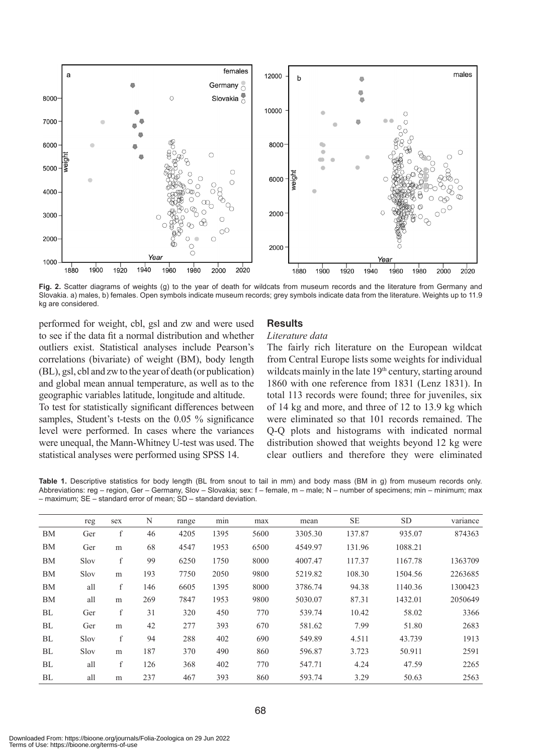

Fig. 2. Scatter diagrams of weights (g) to the year of death for wildcats from museum records and the literature from Germany and Slovakia. a) males, b) females. Open symbols indicate museum records; grey symbols indicate data from the literature. Weights up to 11.9 kg are considered.

performed for weight, cbl, gsl and zw and were used to see if the data fit a normal distribution and whether outliers exist. Statistical analyses include Pearson's correlations (bivariate) of weight (BM), body length (BL), gsl, cbl and zw to the year of death (or publication) and global mean annual temperature, as well as to the geographic variables latitude, longitude and altitude. To test for statistically significant differences between samples, Student's t-tests on the 0.05 % significance level were performed. In cases where the variances were unequal, the Mann-Whitney U-test was used. The statistical analyses were performed using SPSS 14.

### **Results**

#### *Literature data*

The fairly rich literature on the European wildcat from Central Europe lists some weights for individual wildcats mainly in the late 19<sup>th</sup> century, starting around 1860 with one reference from 1831 (Lenz 1831). In total 113 records were found; three for juveniles, six of 14 kg and more, and three of 12 to 13.9 kg which were eliminated so that 101 records remained. The Q-Q plots and histograms with indicated normal distribution showed that weights beyond 12 kg were clear outliers and therefore they were eliminated

**Table 1.** Descriptive statistics for body length (BL from snout to tail in mm) and body mass (BM in g) from museum records only. Abbreviations: reg – region, Ger – Germany, Slov – Slovakia; sex: f – female, m – male; N – number of specimens; min – minimum; max – maximum; SE – standard error of mean; SD – standard deviation.

|           | reg  | sex          | N   | range | min  | max  | mean    | <b>SE</b> | <b>SD</b> | variance |
|-----------|------|--------------|-----|-------|------|------|---------|-----------|-----------|----------|
| <b>BM</b> | Ger  | f            | 46  | 4205  | 1395 | 5600 | 3305.30 | 137.87    | 935.07    | 874363   |
| BM        | Ger  | m            | 68  | 4547  | 1953 | 6500 | 4549.97 | 131.96    | 1088.21   |          |
| BM        | Slov | f            | 99  | 6250  | 1750 | 8000 | 4007.47 | 117.37    | 1167.78   | 1363709  |
| BM        | Slov | m            | 193 | 7750  | 2050 | 9800 | 5219.82 | 108.30    | 1504.56   | 2263685  |
| BM        | all  | $\mathbf{f}$ | 146 | 6605  | 1395 | 8000 | 3786.74 | 94.38     | 1140.36   | 1300423  |
| <b>BM</b> | all  | m            | 269 | 7847  | 1953 | 9800 | 5030.07 | 87.31     | 1432.01   | 2050649  |
| BL        | Ger  | f            | 31  | 320   | 450  | 770  | 539.74  | 10.42     | 58.02     | 3366     |
| BL        | Ger  | m            | 42  | 277   | 393  | 670  | 581.62  | 7.99      | 51.80     | 2683     |
| BL        | Slov | f            | 94  | 288   | 402  | 690  | 549.89  | 4.511     | 43.739    | 1913     |
| BL        | Slov | m            | 187 | 370   | 490  | 860  | 596.87  | 3.723     | 50.911    | 2591     |
| BL        | all  | f            | 126 | 368   | 402  | 770  | 547.71  | 4.24      | 47.59     | 2265     |
| BL        | all  | m            | 237 | 467   | 393  | 860  | 593.74  | 3.29      | 50.63     | 2563     |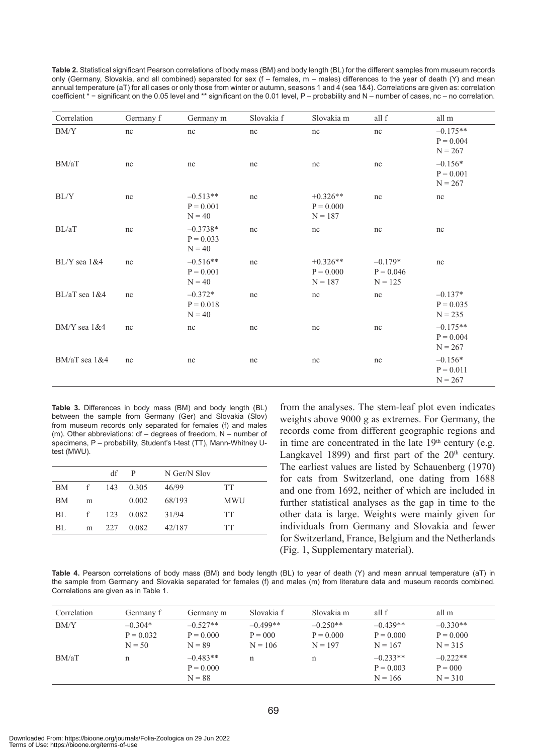| Table 2. Statistical significant Pearson correlations of body mass (BM) and body length (BL) for the different samples from museum records            |
|-------------------------------------------------------------------------------------------------------------------------------------------------------|
| only (Germany, Slovakia, and all combined) separated for sex (f – females, m – males) differences to the year of death (Y) and mean                   |
| annual temperature (aT) for all cases or only those from winter or autumn, seasons 1 and 4 (sea 1&4). Correlations are given as: correlation          |
| coefficient $*$ – significant on the 0.05 level and ** significant on the 0.01 level, $P -$ probability and N – number of cases, nc – no correlation. |

| Correlation              | Germany f | Germany m                             | Slovakia f | Slovakia m                             | all f                                 | all m                                  |
|--------------------------|-----------|---------------------------------------|------------|----------------------------------------|---------------------------------------|----------------------------------------|
| $\mathrm{BM}/\mathrm{Y}$ | nc        | nc                                    | $\rm nc$   | nc                                     | nc                                    | $-0.175**$<br>$P = 0.004$<br>$N = 267$ |
| BM/aT                    | nc        | nc                                    | nc         | nc                                     | nc                                    | $-0.156*$<br>$P = 0.001$<br>$N = 267$  |
| BL/Y                     | nc        | $-0.513**$<br>$P = 0.001$<br>$N = 40$ | nc         | $+0.326**$<br>$P = 0.000$<br>$N = 187$ | nc                                    | nc                                     |
| BL/aT                    | nc        | $-0.3738*$<br>$P = 0.033$<br>$N = 40$ | nc         | nc                                     | nc                                    | nc                                     |
| $BL/Y$ sea $1&4$         | nc        | $-0.516**$<br>$P = 0.001$<br>$N = 40$ | nc         | $+0.326**$<br>$P = 0.000$<br>$N = 187$ | $-0.179*$<br>$P = 0.046$<br>$N = 125$ | nc                                     |
| $BL/aT$ sea $1&4$        | nc        | $-0.372*$<br>$P = 0.018$<br>$N = 40$  | nc         | nc                                     | nc                                    | $-0.137*$<br>$P = 0.035$<br>$N = 235$  |
| $BM/Y$ sea $1&4$         | nc        | nc                                    | nc         | nc                                     | nc                                    | $-0.175**$<br>$P = 0.004$<br>$N = 267$ |
| BM/aT sea 1&4            | nc        | nc                                    | nc         | nc                                     | nc                                    | $-0.156*$<br>$P = 0.011$<br>$N = 267$  |

**Table 3.** Differences in body mass (BM) and body length (BL) between the sample from Germany (Ger) and Slovakia (Slov) from museum records only separated for females (f) and males (m). Other abbreviations: df – degrees of freedom, N – number of specimens, P – probability, Student's t-test (TT), Mann-Whitney Utest (MWU).

|    |      | df  | P     | N Ger/N Slov |            |
|----|------|-----|-------|--------------|------------|
| ΒM | f    | 143 | 0.305 | 46/99        | TT         |
| BM | m    |     | 0.002 | 68/193       | <b>MWU</b> |
| BL | $-f$ | 123 | 0.082 | 31/94        | TT         |
| BL | m    | 227 | 0.082 | 42/187       | TT         |

from the analyses. The stem-leaf plot even indicates weights above 9000 g as extremes. For Germany, the records come from different geographic regions and in time are concentrated in the late 19<sup>th</sup> century (e.g. Langkavel 1899) and first part of the  $20<sup>th</sup>$  century. The earliest values are listed by Schauenberg (1970) for cats from Switzerland, one dating from 1688 and one from 1692, neither of which are included in further statistical analyses as the gap in time to the other data is large. Weights were mainly given for individuals from Germany and Slovakia and fewer for Switzerland, France, Belgium and the Netherlands (Fig. 1, Supplementary material).

**Table 4.** Pearson correlations of body mass (BM) and body length (BL) to year of death (Y) and mean annual temperature (aT) in the sample from Germany and Slovakia separated for females (f) and males (m) from literature data and museum records combined. Correlations are given as in Table 1.

| Correlation | Germany f                            | Germany m                             | Slovakia f                           | Slovakia m                             | all f                                  | all m                                  |
|-------------|--------------------------------------|---------------------------------------|--------------------------------------|----------------------------------------|----------------------------------------|----------------------------------------|
| BM/Y        | $-0.304*$<br>$P = 0.032$<br>$N = 50$ | $-0.527**$<br>$P = 0.000$<br>$N = 89$ | $-0.499**$<br>$P = 000$<br>$N = 106$ | $-0.250**$<br>$P = 0.000$<br>$N = 197$ | $-0.439**$<br>$P = 0.000$<br>$N = 167$ | $-0.330**$<br>$P = 0.000$<br>$N = 315$ |
| BM/aT       | n                                    | $-0.483**$<br>$P = 0.000$<br>$N = 88$ | n                                    | n                                      | $-0.233**$<br>$P = 0.003$<br>$N = 166$ | $-0.222**$<br>$P = 000$<br>$N = 310$   |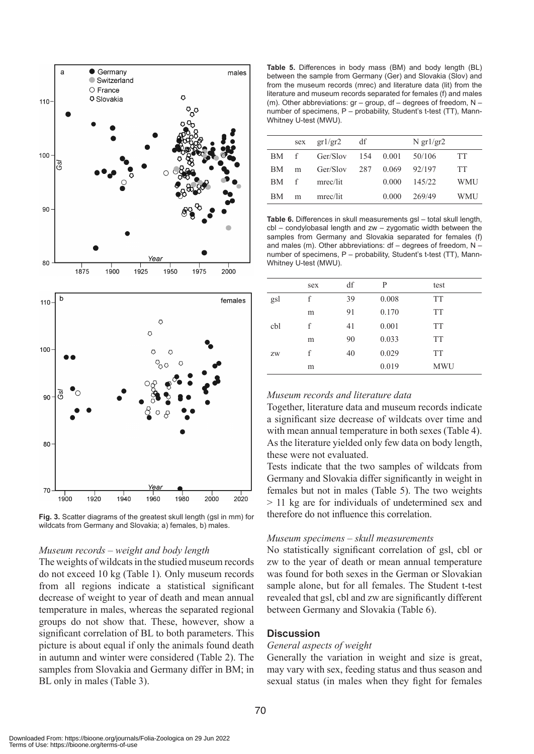

**Fig. 3.** Scatter diagrams of the greatest skull length (gsl in mm) for wildcats from Germany and Slovakia; a) females, b) males.

#### *Museum records – weight and body length*

The weights of wildcats in the studied museum records do not exceed 10 kg (Table 1)*.* Only museum records from all regions indicate a statistical significant decrease of weight to year of death and mean annual temperature in males, whereas the separated regional groups do not show that. These, however, show a significant correlation of BL to both parameters. This picture is about equal if only the animals found death in autumn and winter were considered (Table 2). The samples from Slovakia and Germany differ in BM; in BL only in males (Table 3).

**Table 5.** Differences in body mass (BM) and body length (BL) between the sample from Germany (Ger) and Slovakia (Slov) and from the museum records (mrec) and literature data (lit) from the literature and museum records separated for females (f) and males (m). Other abbreviations: gr – group, df – degrees of freedom, N – number of specimens, P – probability, Student's t-test (TT), Mann-Whitney U-test (MWU).

|           | sex | gr1/gr2  | df  |       | N $gr1/gr2$ |           |
|-----------|-----|----------|-----|-------|-------------|-----------|
| BM        | f   | Ger/Slov | 154 | 0.001 | 50/106      | <b>TT</b> |
| BM        | m   | Ger/Slov | 287 | 0.069 | 92/197      | <b>TT</b> |
| BM        | f   | mrec/lit |     | 0.000 | 145/22      | WMU       |
| <b>BM</b> | m   | mrec/lit |     | 0.000 | 269/49      | WMU       |

**Table 6.** Differences in skull measurements gsl – total skull length, cbl – condylobasal length and zw – zygomatic width between the samples from Germany and Slovakia separated for females (f) and males (m). Other abbreviations:  $df - degrees$  of freedom,  $N$ number of specimens, P – probability, Student's t-test (TT), Mann-Whitney U-test (MWU).

|     | sex | df | P     | test       |
|-----|-----|----|-------|------------|
| gsl | f   | 39 | 0.008 | <b>TT</b>  |
|     | m   | 91 | 0.170 | <b>TT</b>  |
| cbl | f   | 41 | 0.001 | <b>TT</b>  |
|     | m   | 90 | 0.033 | <b>TT</b>  |
| ZW  | f   | 40 | 0.029 | <b>TT</b>  |
|     | m   |    | 0.019 | <b>MWU</b> |

# *Museum records and literature data*

Together, literature data and museum records indicate a significant size decrease of wildcats over time and with mean annual temperature in both sexes (Table 4). As the literature yielded only few data on body length, these were not evaluated.

Tests indicate that the two samples of wildcats from Germany and Slovakia differ significantly in weight in females but not in males (Table 5). The two weights > 11 kg are for individuals of undetermined sex and therefore do not influence this correlation.

### *Museum specimens – skull measurements*

No statistically significant correlation of gsl, cbl or zw to the year of death or mean annual temperature was found for both sexes in the German or Slovakian sample alone, but for all females. The Student t-test revealed that gsl, cbl and zw are significantly different between Germany and Slovakia (Table 6).

# **Discussion**

#### *General aspects of weight*

Generally the variation in weight and size is great, may vary with sex, feeding status and thus season and sexual status (in males when they fight for females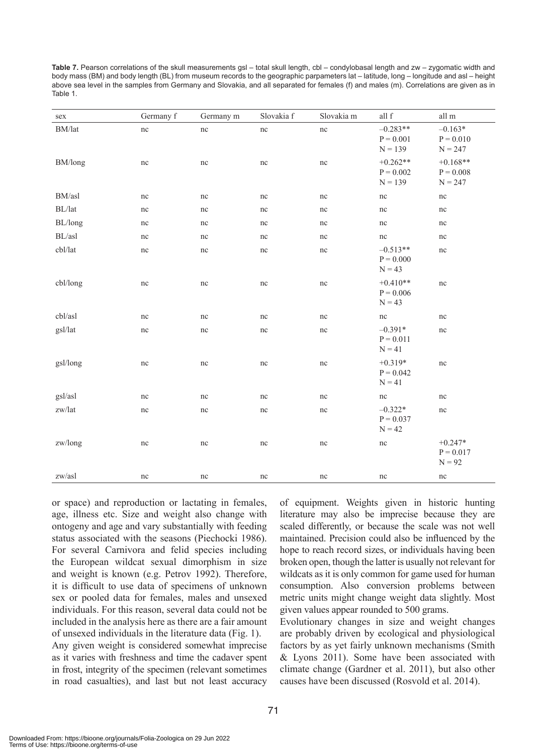| <b>Table 7.</b> Pearson correlations of the skull measurements $qsl - total$ skull length, cbl – condylobasal length and zw – zygomatic width and |
|---------------------------------------------------------------------------------------------------------------------------------------------------|
| body mass (BM) and body length (BL) from museum records to the geographic parpameters lat – latitude, long – longitude and asl – height           |
| above sea level in the samples from Germany and Slovakia, and all separated for females (f) and males (m). Correlations are given as in           |
| Table 1.                                                                                                                                          |

| sex                        | Germany f | Germany m | Slovakia f | Slovakia m | all f                                  | all m                                  |
|----------------------------|-----------|-----------|------------|------------|----------------------------------------|----------------------------------------|
| $\mathrm{BM}/\mathrm{lat}$ | nc        | nc        | $\rm nc$   | $\rm nc$   | $-0.283**$<br>$P = 0.001$<br>$N = 139$ | $-0.163*$<br>$P = 0.010$<br>$N = 247$  |
| BM/long                    | nc        | nc        | nc         | nc         | $+0.262**$<br>$P = 0.002$<br>$N = 139$ | $+0.168**$<br>$P = 0.008$<br>$N = 247$ |
| BM/asl                     | $\rm nc$  | $\rm nc$  | $\rm nc$   | $\rm nc$   | nc                                     | $\rm nc$                               |
| BL/lat                     | nc        | nc        | nc         | nc         | nc                                     | nc                                     |
| BL/long                    | nc        | nc        | nc         | nc         | nc                                     | nc                                     |
| $\mathrm{BL}/\mathrm{as}l$ | nc        | nc        | nc         | nc         | nc                                     | nc                                     |
| cbl/lat                    | nc        | nc        | nc         | nc         | $-0.513**$<br>$P = 0.000$<br>$N = 43$  | nc                                     |
| cbl/long                   | nc        | nc        | nc         | nc         | $+0.410**$<br>$P = 0.006$<br>$N = 43$  | $\rm nc$                               |
| cbl/asl                    | nc        | nc        | nc         | nc         | nc                                     | $\rm nc$                               |
| gsl/lat                    | $\rm nc$  | $\rm nc$  | nc         | $\rm nc$   | $-0.391*$<br>$P = 0.011$<br>$N = 41$   | nc                                     |
| gsl/long                   | $\rm nc$  | $\rm nc$  | $\rm nc$   | $\rm nc$   | $+0.319*$<br>$P = 0.042$<br>$N = 41$   | $\rm nc$                               |
| gsl/asl                    | nc        | nc        | nc         | nc         | nc                                     | nc                                     |
| $\rm zw/lat$               | nc        | nc        | nc         | nc         | $-0.322*$<br>$P = 0.037$<br>$N = 42$   | nc                                     |
| zw/long                    | nc        | nc        | nc         | nc         | $\rm nc$                               | $+0.247*$<br>$P = 0.017$<br>$N = 92$   |
| zw/asl                     | nc        | nc        | nc         | nc         | nc                                     | nc                                     |

or space) and reproduction or lactating in females, age, illness etc. Size and weight also change with ontogeny and age and vary substantially with feeding status associated with the seasons (Piechocki 1986). For several Carnivora and felid species including the European wildcat sexual dimorphism in size and weight is known (e.g. Petrov 1992). Therefore, it is difficult to use data of specimens of unknown sex or pooled data for females, males and unsexed individuals. For this reason, several data could not be included in the analysis here as there are a fair amount of unsexed individuals in the literature data (Fig. 1). Any given weight is considered somewhat imprecise

as it varies with freshness and time the cadaver spent in frost, integrity of the specimen (relevant sometimes in road casualties), and last but not least accuracy of equipment. Weights given in historic hunting literature may also be imprecise because they are scaled differently, or because the scale was not well maintained. Precision could also be influenced by the hope to reach record sizes, or individuals having been broken open, though the latter is usually not relevant for wildcats as it is only common for game used for human consumption. Also conversion problems between metric units might change weight data slightly. Most given values appear rounded to 500 grams.

Evolutionary changes in size and weight changes are probably driven by ecological and physiological factors by as yet fairly unknown mechanisms (Smith & Lyons 2011). Some have been associated with climate change (Gardner et al. 2011), but also other causes have been discussed (Rosvold et al. 2014).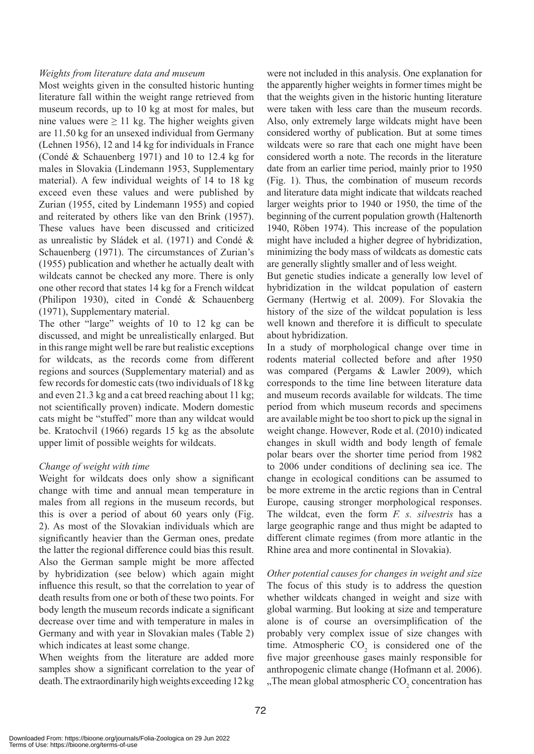## *Weights from literature data and museum*

Most weights given in the consulted historic hunting literature fall within the weight range retrieved from museum records, up to 10 kg at most for males, but nine values were  $\geq 11$  kg. The higher weights given are 11.50 kg for an unsexed individual from Germany (Lehnen 1956), 12 and 14 kg for individuals in France (Condé & Schauenberg 1971) and 10 to 12.4 kg for males in Slovakia (Lindemann 1953, Supplementary material). A few individual weights of 14 to 18 kg exceed even these values and were published by Zurian (1955, cited by Lindemann 1955) and copied and reiterated by others like van den Brink (1957). These values have been discussed and criticized as unrealistic by Sládek et al. (1971) and Condé & Schauenberg (1971). The circumstances of Zurian's (1955) publication and whether he actually dealt with wildcats cannot be checked any more. There is only one other record that states 14 kg for a French wildcat (Philipon 1930), cited in Condé & Schauenberg (1971), Supplementary material.

The other "large" weights of 10 to 12 kg can be discussed, and might be unrealistically enlarged. But in this range might well be rare but realistic exceptions for wildcats, as the records come from different regions and sources (Supplementary material) and as few records for domestic cats (two individuals of 18 kg and even 21.3 kg and a cat breed reaching about 11 kg; not scientifically proven) indicate. Modern domestic cats might be "stuffed" more than any wildcat would be. Kratochvíl (1966) regards 15 kg as the absolute upper limit of possible weights for wildcats.

# *Change of weight with time*

Weight for wildcats does only show a significant change with time and annual mean temperature in males from all regions in the museum records, but this is over a period of about 60 years only (Fig. 2). As most of the Slovakian individuals which are significantly heavier than the German ones, predate the latter the regional difference could bias this result. Also the German sample might be more affected by hybridization (see below) which again might influence this result, so that the correlation to year of death results from one or both of these two points. For body length the museum records indicate a significant decrease over time and with temperature in males in Germany and with year in Slovakian males (Table 2) which indicates at least some change.

When weights from the literature are added more samples show a significant correlation to the year of death. The extraordinarily high weights exceeding 12 kg were not included in this analysis. One explanation for the apparently higher weights in former times might be that the weights given in the historic hunting literature were taken with less care than the museum records. Also, only extremely large wildcats might have been considered worthy of publication. But at some times wildcats were so rare that each one might have been considered worth a note. The records in the literature date from an earlier time period, mainly prior to 1950 (Fig. 1). Thus, the combination of museum records and literature data might indicate that wildcats reached larger weights prior to 1940 or 1950, the time of the beginning of the current population growth (Haltenorth 1940, Röben 1974). This increase of the population might have included a higher degree of hybridization, minimizing the body mass of wildcats as domestic cats are generally slightly smaller and of less weight.

But genetic studies indicate a generally low level of hybridization in the wildcat population of eastern Germany (Hertwig et al. 2009). For Slovakia the history of the size of the wildcat population is less well known and therefore it is difficult to speculate about hybridization.

In a study of morphological change over time in rodents material collected before and after 1950 was compared (Pergams & Lawler 2009), which corresponds to the time line between literature data and museum records available for wildcats. The time period from which museum records and specimens are available might be too short to pick up the signal in weight change. However, Rode et al. (2010) indicated changes in skull width and body length of female polar bears over the shorter time period from 1982 to 2006 under conditions of declining sea ice. The change in ecological conditions can be assumed to be more extreme in the arctic regions than in Central Europe, causing stronger morphological responses. The wildcat, even the form *F. s. silvestris* has a large geographic range and thus might be adapted to different climate regimes (from more atlantic in the Rhine area and more continental in Slovakia).

*Other potential causes for changes in weight and size* The focus of this study is to address the question whether wildcats changed in weight and size with global warming. But looking at size and temperature alone is of course an oversimplification of the probably very complex issue of size changes with time. Atmospheric  $CO<sub>2</sub>$  is considered one of the five major greenhouse gases mainly responsible for anthropogenic climate change (Hofmann et al. 2006). "The mean global atmospheric  $CO_2$  concentration has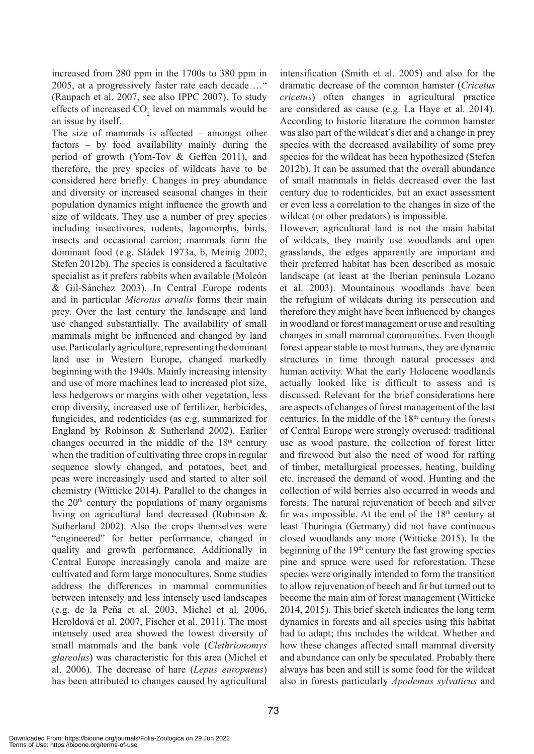increased from 280 ppm in the 1700s to 380 ppm in 2005, at a progressively faster rate each decade …" (Raupach et al. 2007, see also IPPC 2007). To study effects of increased  $CO_2$  level on mammals would be an issue by itself.

The size of mammals is affected – amongst other factors – by food availability mainly during the period of growth (Yom-Tov & Geffen 2011), and therefore, the prey species of wildcats have to be considered here briefly. Changes in prey abundance and diversity or increased seasonal changes in their population dynamics might influence the growth and size of wildcats. They use a number of prey species including insectivores, rodents, lagomorphs, birds, insects and occasional carrion; mammals form the dominant food (e.g. Sládek 1973a, b, Meinig 2002, Stefen 2012b). The species is considered a facultative specialist as it prefers rabbits when available (Moleón & Gil-Sánchez 2003). In Central Europe rodents and in particular *Microtus arvalis* forms their main prey. Over the last century the landscape and land use changed substantially. The availability of small mammals might be influenced and changed by land use. Particularly agriculture, representing the dominant land use in Western Europe, changed markedly beginning with the 1940s. Mainly increasing intensity and use of more machines lead to increased plot size, less hedgerows or margins with other vegetation, less crop diversity, increased use of fertilizer, herbicides, fungicides, and rodenticides (as e.g. summarized for England by Robinson & Sutherland 2002). Earlier changes occurred in the middle of the  $18<sup>th</sup>$  century when the tradition of cultivating three crops in regular sequence slowly changed, and potatoes, beet and peas were increasingly used and started to alter soil chemistry (Witticke 2014). Parallel to the changes in the  $20<sup>th</sup>$  century the populations of many organisms living on agricultural land decreased (Robinson & Sutherland 2002). Also the crops themselves were "engineered" for better performance, changed in quality and growth performance. Additionally in Central Europe increasingly canola and maize are cultivated and form large monocultures. Some studies address the differences in mammal communities between intensely and less intensely used landscapes (e.g. de la Peña et al. 2003, Michel et al. 2006, Heroldová et al. 2007, Fischer et al. 2011). The most intensely used area showed the lowest diversity of small mammals and the bank vole (*Clethrionomys glareolus*) was characteristic for this area (Michel et al. 2006). The decrease of hare (*Lepus europaeus*) has been attributed to changes caused by agricultural

intensification (Smith et al. 2005) and also for the dramatic decrease of the common hamster (*Cricetus cricetus*) often changes in agricultural practice are considered as cause (e.g. La Haye et al. 2014). According to historic literature the common hamster was also part of the wildcat's diet and a change in prey species with the decreased availability of some prey species for the wildcat has been hypothesized (Stefen 2012b). It can be assumed that the overall abundance of small mammals in fields decreased over the last century due to rodenticides, but an exact assessment or even less a correlation to the changes in size of the wildcat (or other predators) is impossible.

However, agricultural land is not the main habitat of wildcats, they mainly use woodlands and open grasslands, the edges apparently are important and their preferred habitat has been described as mosaic landscape (at least at the Iberian peninsula Lozano et al. 2003). Mountainous woodlands have been the refugium of wildcats during its persecution and therefore they might have been influenced by changes in woodland or forest management or use and resulting changes in small mammal communities. Even though forest appear stable to most humans, they are dynamic structures in time through natural processes and human activity. What the early Holocene woodlands actually looked like is difficult to assess and is discussed. Relevant for the brief considerations here are aspects of changes of forest management of the last centuries. In the middle of the 18th century the forests of Central Europe were strongly overused: traditional use as wood pasture, the collection of forest litter and firewood but also the need of wood for rafting of timber, metallurgical processes, heating, building etc. increased the demand of wood. Hunting and the collection of wild berries also occurred in woods and forests. The natural rejuvenation of beech and silver fir was impossible. At the end of the  $18<sup>th</sup>$  century at least Thuringia (Germany) did not have continuous closed woodlands any more (Witticke 2015). In the beginning of the  $19<sup>th</sup>$  century the fast growing species pine and spruce were used for reforestation. These species were originally intended to form the transition to allow rejuvenation of beech and fir but turned out to become the main aim of forest management (Witticke 2014, 2015). This brief sketch indicates the long term dynamics in forests and all species using this habitat had to adapt; this includes the wildcat. Whether and how these changes affected small mammal diversity and abundance can only be speculated. Probably there always has been and still is some food for the wildcat also in forests particularly *Apodemus sylvaticus* and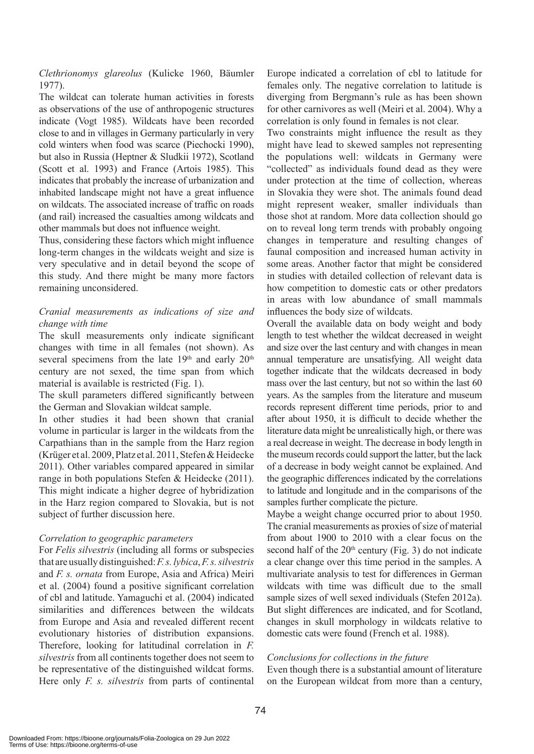*Clethrionomys glareolus* (Kulicke 1960, Bäumler 1977).

The wildcat can tolerate human activities in forests as observations of the use of anthropogenic structures indicate (Vogt 1985). Wildcats have been recorded close to and in villages in Germany particularly in very cold winters when food was scarce (Piechocki 1990), but also in Russia (Heptner & Sludkii 1972), Scotland (Scott et al. 1993) and France (Artois 1985). This indicates that probably the increase of urbanization and inhabited landscape might not have a great influence on wildcats. The associated increase of traffic on roads (and rail) increased the casualties among wildcats and other mammals but does not influence weight.

Thus, considering these factors which might influence long-term changes in the wildcats weight and size is very speculative and in detail beyond the scope of this study. And there might be many more factors remaining unconsidered.

# *Cranial measurements as indications of size and change with time*

The skull measurements only indicate significant changes with time in all females (not shown). As several specimens from the late 19<sup>th</sup> and early 20<sup>th</sup> century are not sexed, the time span from which material is available is restricted (Fig. 1).

The skull parameters differed significantly between the German and Slovakian wildcat sample.

In other studies it had been shown that cranial volume in particular is larger in the wildcats from the Carpathians than in the sample from the Harz region (Krüger et al. 2009, Platz et al. 2011, Stefen & Heidecke 2011). Other variables compared appeared in similar range in both populations Stefen & Heidecke (2011). This might indicate a higher degree of hybridization in the Harz region compared to Slovakia, but is not subject of further discussion here.

# *Correlation to geographic parameters*

For *Felis silvestris* (including all forms or subspecies that are usually distinguished: *F. s. lybica*, *F. s. silvestris*  and *F. s. ornata* from Europe, Asia and Africa) Meiri et al. (2004) found a positive significant correlation of cbl and latitude. Yamaguchi et al. (2004) indicated similarities and differences between the wildcats from Europe and Asia and revealed different recent evolutionary histories of distribution expansions. Therefore, looking for latitudinal correlation in *F. silvestris* from all continents together does not seem to be representative of the distinguished wildcat forms. Here only *F. s. silvestris* from parts of continental Europe indicated a correlation of cbl to latitude for females only. The negative correlation to latitude is diverging from Bergmann's rule as has been shown for other carnivores as well (Meiri et al. 2004). Why a correlation is only found in females is not clear.

Two constraints might influence the result as they might have lead to skewed samples not representing the populations well: wildcats in Germany were "collected" as individuals found dead as they were under protection at the time of collection, whereas in Slovakia they were shot. The animals found dead might represent weaker, smaller individuals than those shot at random. More data collection should go on to reveal long term trends with probably ongoing changes in temperature and resulting changes of faunal composition and increased human activity in some areas. Another factor that might be considered in studies with detailed collection of relevant data is how competition to domestic cats or other predators in areas with low abundance of small mammals influences the body size of wildcats.

Overall the available data on body weight and body length to test whether the wildcat decreased in weight and size over the last century and with changes in mean annual temperature are unsatisfying. All weight data together indicate that the wildcats decreased in body mass over the last century, but not so within the last 60 years. As the samples from the literature and museum records represent different time periods, prior to and after about 1950, it is difficult to decide whether the literature data might be unrealistically high, or there was a real decrease in weight. The decrease in body length in the museum records could support the latter, but the lack of a decrease in body weight cannot be explained. And the geographic differences indicated by the correlations to latitude and longitude and in the comparisons of the samples further complicate the picture.

Maybe a weight change occurred prior to about 1950. The cranial measurements as proxies of size of material from about 1900 to 2010 with a clear focus on the second half of the  $20<sup>th</sup>$  century (Fig. 3) do not indicate a clear change over this time period in the samples. A multivariate analysis to test for differences in German wildcats with time was difficult due to the small sample sizes of well sexed individuals (Stefen 2012a). But slight differences are indicated, and for Scotland, changes in skull morphology in wildcats relative to domestic cats were found (French et al. 1988).

# *Conclusions for collections in the future*

Even though there is a substantial amount of literature on the European wildcat from more than a century,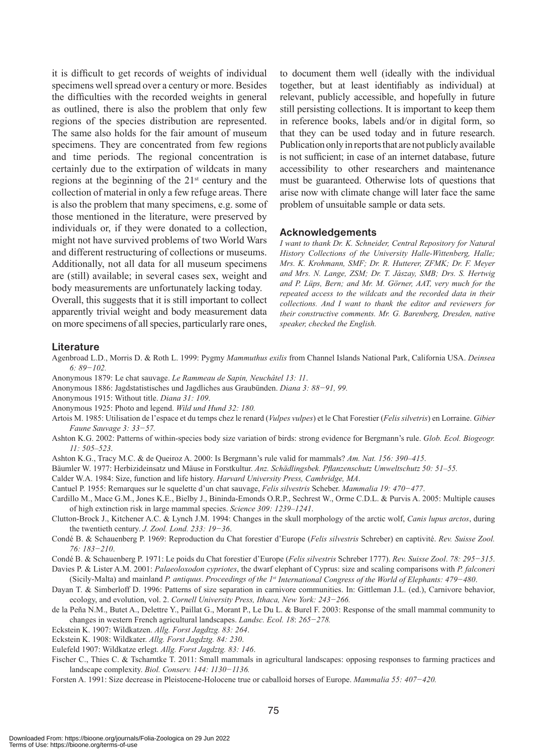it is difficult to get records of weights of individual specimens well spread over a century or more. Besides the difficulties with the recorded weights in general as outlined, there is also the problem that only few regions of the species distribution are represented. The same also holds for the fair amount of museum specimens. They are concentrated from few regions and time periods. The regional concentration is certainly due to the extirpation of wildcats in many regions at the beginning of the  $21<sup>st</sup>$  century and the collection of material in only a few refuge areas. There is also the problem that many specimens, e.g. some of those mentioned in the literature, were preserved by individuals or, if they were donated to a collection, might not have survived problems of two World Wars and different restructuring of collections or museums. Additionally, not all data for all museum specimens are (still) available; in several cases sex, weight and body measurements are unfortunately lacking today. Overall, this suggests that it is still important to collect apparently trivial weight and body measurement data on more specimens of all species, particularly rare ones, to document them well (ideally with the individual together, but at least identifiably as individual) at relevant, publicly accessible, and hopefully in future still persisting collections. It is important to keep them in reference books, labels and/or in digital form, so that they can be used today and in future research. Publication only in reports that are not publicly available is not sufficient; in case of an internet database, future accessibility to other researchers and maintenance must be guaranteed. Otherwise lots of questions that arise now with climate change will later face the same problem of unsuitable sample or data sets.

#### **Acknowledgements**

*I want to thank Dr. K. Schneider, Central Repository for Natural History Collections of the University Halle-Wittenberg, Halle; Mrs. K. Krohmann, SMF; Dr. R. Hutterer, ZFMK; Dr. F. Meyer and Mrs. N. Lange, ZSM; Dr. T. Jászay, SMB; Drs. S. Hertwig and P. Lüps, Bern; and Mr. M. Görner, AAT, very much for the repeated access to the wildcats and the recorded data in their collections. And I want to thank the editor and reviewers for their constructive comments. Mr. G. Barenberg, Dresden, native speaker, checked the English.* 

#### **Literature**

- Agenbroad L.D., Morris D. & Roth L. 1999: Pygmy *Mammuthus exilis* from Channel Islands National Park, California USA. *Deinsea 6: 89−102.*
- Anonymous 1879: Le chat sauvage. *Le Rammeau de Sapin, Neuchâtel 13: 11*.
- Anonymous 1886: Jagdstatistisches und Jagdliches aus Graubünden. *Diana 3: 88−91, 99.*
- Anonymous 1915: Without title. *Diana 31: 109*.
- Anonymous 1925: Photo and legend. *Wild und Hund 32: 180.*
- Artois M. 1985: Utilisation de l'espace et du temps chez le renard (*Vulpes vulpes*) et le Chat Forestier (*Felis silvetris*) en Lorraine. *Gibier Faune Sauvage 3: 33−57.*
- Ashton K.G. 2002: Patterns of within-species body size variation of birds: strong evidence for Bergmann's rule. *Glob. Ecol. Biogeogr. 11: 505–523*.
- Ashton K.G., Tracy M.C. & de Queiroz A. 2000: Is Bergmann's rule valid for mammals? *Am. Nat. 156: 390–415*.
- Bäumler W. 1977: Herbizideinsatz und Mäuse in Forstkultur. *Anz. Schädlingsbek. Pflanzenschutz Umweltschutz 50: 51–55.*
- Calder W.A. 1984: Size, function and life history. *Harvard University Press, Cambridge, MA*.
- Cantuel P. 1955: Remarques sur le squelette d'un chat sauvage, *Felis silvestris* Scheber. *Mammalia 19: 470−477*.
- Cardillo M., Mace G.M., Jones K.E., Bielby J., Bininda-Emonds O.R.P., Sechrest W., Orme C.D.L. & Purvis A. 2005: Multiple causes of high extinction risk in large mammal species. *Science 309: 1239–1241*.
- Clutton-Brock J., Kitchener A.C. & Lynch J.M. 1994: Changes in the skull morphology of the arctic wolf, *Canis lupus arctos*, during the twentieth century. *J. Zool. Lond. 233: 19−36*.
- Condé B. & Schauenberg P. 1969: Reproduction du Chat forestier d'Europe (*Felis silvestris* Schreber) en captivité. *Rev. Suisse Zool. 76: 183−210*.
- Condé B. & Schauenberg P. 1971: Le poids du Chat forestier d'Europe (*Felis silvestris* Schreber 1777). *Rev. Suisse Zool*. *78: 295−315*.

Davies P. & Lister A.M. 2001: *Palaeoloxodon cypriotes*, the dwarf elephant of Cyprus: size and scaling comparisons with *P. falconeri* (Sicily-Malta) and mainland *P. antiquus*. *Proceedings of the 1st International Congress of the World of Elephants: 479−480*.

- Dayan T. & Simberloff D. 1996: Patterns of size separation in carnivore communities. In: Gittleman J.L. (ed.), Carnivore behavior, ecology, and evolution, vol. 2. *Cornell University Press, Ithaca, New York: 243−266.*
- de la Peña N.M., Butet A., Delettre Y., Paillat G., Morant P., Le Du L. & Burel F. 2003: Response of the small mammal community to changes in western French agricultural landscapes. *Landsc. Ecol. 18*: *265−278.*
- Eckstein K. 1907: Wildkatzen. *Allg. Forst Jagdtzg. 83: 264*.
- Eckstein K. 1908: Wildkater. *Allg. Forst Jagdztg. 84: 230*.

Eulefeld 1907: Wildkatze erlegt. *Allg. Forst Jagdztg. 83: 146*.

- Fischer C., Thies C. & Tscharntke T. 2011: Small mammals in agricultural landscapes: opposing responses to farming practices and landscape complexity. *Biol. Conserv. 144: 1130−1136.*
- Forsten A. 1991: Size decrease in Pleistocene-Holocene true or caballoid horses of Europe. *Mammalia 55: 407−420.*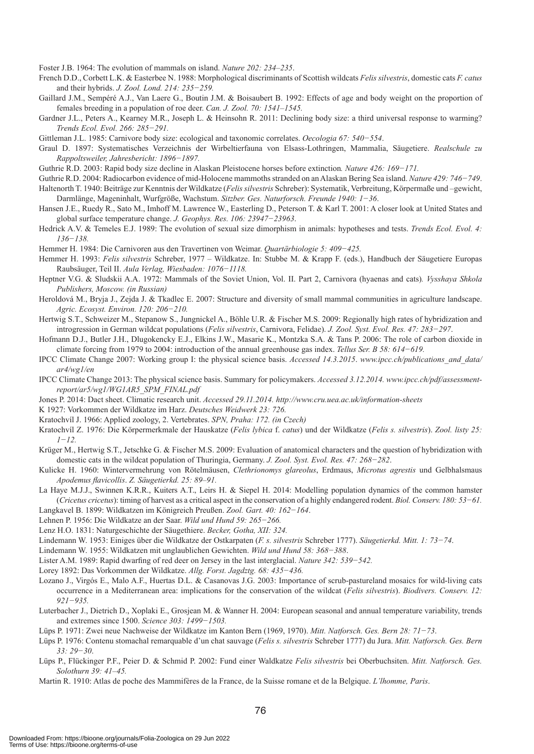Foster J.B. 1964: The evolution of mammals on island. *Nature 202: 234–235*.

- French D.D., Corbett L.K. & Easterbee N. 1988: Morphological discriminants of Scottish wildcats *Felis silvestris*, domestic cats *F. catus* and their hybrids. *J. Zool. Lond. 214: 235−259.*
- Gaillard J.M., Sempéré A.J., Van Laere G., Boutin J.M. & Boisaubert B. 1992: Effects of age and body weight on the proportion of females breeding in a population of roe deer. *Can. J. Zool. 70: 1541–1545.*
- Gardner J.L., Peters A., Kearney M.R., Joseph L. & Heinsohn R. 2011: Declining body size: a third universal response to warming? *Trends Ecol. Evol. 266: 285−291.*

Gittleman J.L. 1985: Carnivore body size: ecological and taxonomic correlates. *Oecologia 67: 540−554*.

- Graul D. 1897: Systematisches Verzeichnis der Wirbeltierfauna von Elsass-Lothringen, Mammalia, Säugetiere. *Realschule zu Rappoltsweiler, Jahresbericht: 1896−1897.*
- Guthrie R.D. 2003: Rapid body size decline in Alaskan Pleistocene horses before extinction*. Nature 426: 169−171.*
- Guthrie R.D. 2004: Radiocarbon evidence of mid-Holocene mammoths stranded on an Alaskan Bering Sea island. *Nature 429: 746−749*.
- Haltenorth T. 1940: Beiträge zur Kenntnis der Wildkatze (*Felis silvestris* Schreber): Systematik, Verbreitung, Körpermaße und –gewicht, Darmlänge, Mageninhalt, Wurfgröße, Wachstum. *Sitzber. Ges. Naturforsch. Freunde 1940: 1−36*.
- Hansen J.E., Ruedy R., Sato M., Imhoff M. Lawrence W., Easterling D., Peterson T. & Karl T. 2001: A closer look at United States and global surface temperature change. *J. Geophys. Res. 106: 23947−23963*.
- Hedrick A.V. & Temeles E.J. 1989: The evolution of sexual size dimorphism in animals: hypotheses and tests. *Trends Ecol. Evol. 4: 136−138.*

Hemmer H. 1984: Die Carnivoren aus den Travertinen von Weimar. *Quartärbiologie 5: 409−425.*

- Hemmer H. 1993: *Felis silvestris* Schreber, 1977 Wildkatze. In: Stubbe M. & Krapp F. (eds.), Handbuch der Säugetiere Europas Raubsäuger, Teil II. *Aula Verlag, Wiesbaden: 1076−1118.*
- Heptner V.G. & Sludskii A.A. 1972: Mammals of the Soviet Union, Vol. II. Part 2, Carnivora (hyaenas and cats)*. Vysshaya Shkola Publishers, Moscow. (in Russian)*
- Heroldová M., Bryja J., Zejda J. & Tkadlec E. 2007: Structure and diversity of small mammal communities in agriculture landscape. *Agric. Ecosyst. Environ. 120: 206−210.*
- Hertwig S.T., Schweizer M., Stepanow S., Jungnickel A., Böhle U.R. & Fischer M.S. 2009: Regionally high rates of hybridization and introgression in German wildcat populations (*Felis silvestris*, Carnivora, Felidae). *J. Zool. Syst. Evol. Res. 47: 283−297*.
- Hofmann D.J., Butler J.H., Dlugokencky E.J., Elkins J.W., Masarie K., Montzka S.A. & Tans P. 2006: The role of carbon dioxide in climate forcing from 1979 to 2004: introduction of the annual greenhouse gas index. *Tellus Ser. B 58: 614−619.*
- IPCC Climate Change 2007: Working group I: the physical science basis. *Accessed 14.3.2015*. *www.ipcc.ch/publications\_and\_data/ ar4/wg1/en*
- IPCC Climate Change 2013: The physical science basis. Summary for policymakers. *Accessed 3.12.2014. www.ipcc.ch/pdf/assessmentreport/ar5/wg1/WG1AR5\_SPM\_FINAL.pdf*
- Jones P. 2014: Dact sheet. Climatic research unit. *Accessed 29.11.2014. http://www.cru.uea.ac.uk/information-sheets*
- K 1927: Vorkommen der Wildkatze im Harz. *Deutsches Weidwerk 23: 726.*
- Kratochvíl J. 1966: Applied zoology, 2. Vertebrates. *SPN, Praha: 172. (in Czech)*
- Kratochvíl Z. 1976: Die Körpermerkmale der Hauskatze (*Felis lybica* f. *catus*) und der Wildkatze (*Felis s. silvestris*). *Zool. listy 25: 1−12.*
- Krüger M., Hertwig S.T., Jetschke G. & Fischer M.S. 2009: Evaluation of anatomical characters and the question of hybridization with domestic cats in the wildcat population of Thuringia, Germany. *J. Zool. Syst. Evol. Res. 47: 268−282*.
- Kulicke H. 1960: Wintervermehrung von Rötelmäusen, *Clethrionomys glareolus*, Erdmaus, *Microtus agrestis* und Gelbhalsmaus *Apodemus flavicollis*. *Z. Säugetierkd. 25: 89–91.*
- La Haye M.J.J., Swinnen K.R.R., Kuiters A.T., Leirs H. & Siepel H. 2014: Modelling population dynamics of the common hamster (*Cricetus cricetus*): timing of harvest as a critical aspect in the conservation of a highly endangered rodent. *Biol. Conserv. 180: 53−61.*
- Langkavel B. 1899: Wildkatzen im Königreich Preußen. *Zool. Gart. 40: 162−164*.
- Lehnen P. 1956: Die Wildkatze an der Saar. *Wild und Hund 59: 265−266.*
- Lenz H.O. 1831: Naturgeschichte der Säugethiere. *Becker, Gotha, XII: 324.*
- Lindemann W. 1953: Einiges über die Wildkatze der Ostkarpaten (*F. s. silvestris* Schreber 1777). *Säugetierkd. Mitt. 1: 73−74*.
- Lindemann W. 1955: Wildkatzen mit unglaublichen Gewichten. *Wild und Hund 58: 368−388*.
- Lister A.M. 1989: Rapid dwarfing of red deer on Jersey in the last interglacial. *Nature 342: 539−542.*
- Lorey 1892: Das Vorkommen der Wildkatze. *Allg. Forst. Jagdztg. 68: 435−436.*
- Lozano J., Virgós E., Malo A.F., Huertas D.L. & Casanovas J.G. 2003: Importance of scrub-pastureland mosaics for wild-living cats occurrence in a Mediterranean area: implications for the conservation of the wildcat (*Felis silvestris*). *Biodivers. Conserv. 12: 921−935.*
- Luterbacher J., Dietrich D., Xoplaki E., Grosjean M. & Wanner H. 2004: European seasonal and annual temperature variability, trends and extremes since 1500. *Science 303: 1499−1503.*
- Lüps P. 1971: Zwei neue Nachweise der Wildkatze im Kanton Bern (1969, 1970). *Mitt. Natforsch. Ges. Bern 28: 71−73*.
- Lüps P. 1976: Contenu stomachal remarquable d'un chat sauvage (*Felis s. silvestris* Schreber 1777) du Jura. *Mitt. Natforsch. Ges. Bern 33: 29−30*.
- Lüps P., Flückinger P.F., Peier D. & Schmid P. 2002: Fund einer Waldkatze *Felis silvestris* bei Oberbuchsiten. *Mitt. Natforsch. Ges. Solothurn 39: 41–45.*

Martin R. 1910: Atlas de poche des Mammifères de la France, de la Suisse romane et de la Belgique. *L'lhomme, Paris*.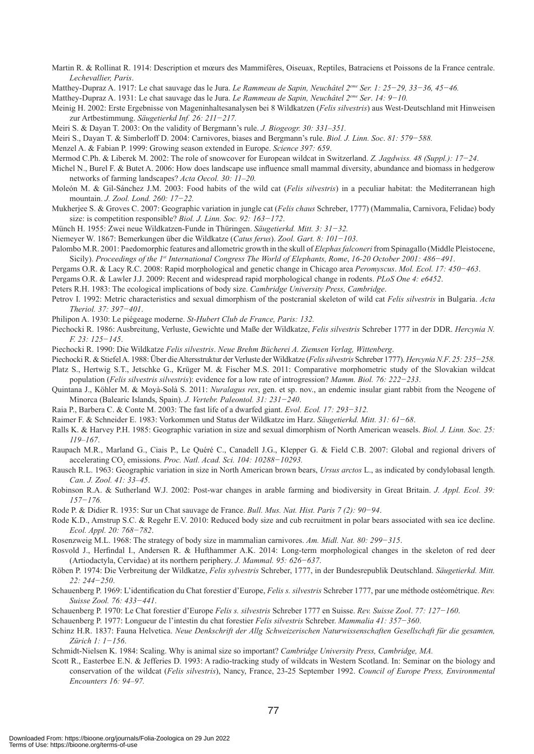Martin R. & Rollinat R. 1914: Description et mœurs des Mammifères, Oiseuax, Reptiles, Batraciens et Poissons de la France centrale. *Lechevallier, Paris*.

Matthey-Dupraz A. 1917: Le chat sauvage das le Jura. *Le Rammeau de Sapin, Neuchâtel 2eme Ser. 1: 25−29, 33−36, 45−46.*

Matthey-Dupraz A. 1931: Le chat sauvage das le Jura. *Le Rammeau de Sapin, Neuchâtel 2eme Ser*. *14: 9−10.*

Meinig H. 2002: Erste Ergebnisse von Mageninhaltesanalysen bei 8 Wildkatzen (*Felis silvestris*) aus West-Deutschland mit Hinweisen zur Artbestimmung. *Säugetierkd Inf. 26: 211−217.*

- Meiri S. & Dayan T. 2003: On the validity of Bergmann's rule. *J. Biogeogr. 30: 331–351.*
- Meiri S., Dayan T. & Simberloff D. 2004: Carnivores, biases and Bergmann's rule. *Biol. J. Linn. Soc*. *81: 579−588.*
- Menzel A. & Fabian P. 1999: Growing season extended in Europe. *Science 397: 659*.
- Mermod C.Ph. & Liberek M. 2002: The role of snowcover for European wildcat in Switzerland. *Z. Jagdwiss. 48 (Suppl.): 17−24*.

Michel N., Burel F. & Butet A. 2006: How does landscape use influence small mammal diversity, abundance and biomass in hedgerow networks of farming landscapes? *Acta Oecol. 30: 11–20.*

- Moleón M. & Gil-Sánchez J.M. 2003: Food habits of the wild cat (*Felis silvestris*) in a peculiar habitat: the Mediterranean high mountain. *J. Zool. Lond. 260: 17−22.*
- Mukherjee S. & Groves C. 2007: Geographic variation in jungle cat (*Felis chaus* Schreber, 1777) (Mammalia, Carnivora, Felidae) body size: is competition responsible? *Biol. J. Linn. Soc. 92: 163−172*.

Münch H. 1955: Zwei neue Wildkatzen-Funde in Thüringen. *Säugetierkd. Mitt. 3: 31−32.*

Niemeyer W. 1867: Bemerkungen über die Wildkatze (*Catus ferus*). *Zool. Gart. 8: 101−103*.

Palombo M.R. 2001: Paedomorphic features and allometric growth in the skull of *Elephas falconeri* from Spinagallo (Middle Pleistocene, Sicily). *Proceedings of the 1st International Congress The World of Elephants, Rome*, *16-20 October 2001: 486−491*.

Pergams O.R. & Lacy R.C. 2008: Rapid morphological and genetic change in Chicago area *Peromyscus*. *Mol. Ecol. 17: 450−463*.

Pergams O.R. & Lawler J.J. 2009: Recent and widespread rapid morphological change in rodents. *PLoS One 4: e6452*.

Peters R.H. 1983: The ecological implications of body size. *Cambridge University Press, Cambridge*.

Petrov I. 1992: Metric characteristics and sexual dimorphism of the postcranial skeleton of wild cat *Felis silvestris* in Bulgaria. *Acta Theriol. 37: 397−401*.

Philipon A. 1930: Le piégeage moderne. *St-Hubert Club de France, Paris: 132.*

Piechocki R. 1986: Ausbreitung, Verluste, Gewichte und Maße der Wildkatze, *Felis silvestris* Schreber 1777 in der DDR. *Hercynia N. F. 23: 125−145*.

Piechocki R. 1990: Die Wildkatze *Felis silvestris*. *Neue Brehm Bücherei A. Ziemsen Verlag, Wittenberg*.

Piechocki R. & Stiefel A. 1988: Über die Altersstruktur der Verluste der Wildkatze (*Felis silvestris* Schreber 1777). *Hercynia N.F*. *25: 235−258*. Platz S., Hertwig S.T., Jetschke G., Krüger M. & Fischer M.S. 2011: Comparative morphometric study of the Slovakian wildcat

population (*Felis silvestris silvestris*): evidence for a low rate of introgression? *Mamm. Biol. 76: 222−233*. Quintana J., Köhler M. & Moyà-Solà S. 2011: *Nuralagus rex*, gen. et sp. nov., an endemic insular giant rabbit from the Neogene of

Minorca (Balearic Islands, Spain). *J. Vertebr. Paleontol. 31: 231−240*.

Raia P., Barbera C. & Conte M. 2003: The fast life of a dwarfed giant. *Evol. Ecol. 17: 293−312.*

Raimer F. & Schneider E. 1983: Vorkommen und Status der Wildkatze im Harz. *Säugetierkd. Mitt. 31: 61−68*.

Ralls K. & Harvey P.H. 1985: Geographic variation in size and sexual dimorphism of North American weasels. *Biol. J. Linn. Soc. 25: 119–167*.

- Raupach M.R., Marland G., Ciais P., Le Quéré C., Canadell J.G., Klepper G. & Field C.B. 2007: Global and regional drivers of accelerating CO<sub>2</sub> emissions. *Proc. Natl. Acad. Sci. 104: 10288−10293.*
- Rausch R.L. 1963: Geographic variation in size in North American brown bears, *Ursus arctos* L., as indicated by condylobasal length. *Can. J. Zool. 41: 33–45*.
- Robinson R.A. & Sutherland W.J. 2002: Post-war changes in arable farming and biodiversity in Great Britain. *J. Appl. Ecol. 39: 157−176.*

Rode P. & Didier R. 1935: Sur un Chat sauvage de France. *Bull. Mus. Nat. Hist. Paris 7 (2): 90−94*.

- Rode K.D., Amstrup S.C. & Regehr E.V. 2010: Reduced body size and cub recruitment in polar bears associated with sea ice decline. *Ecol. Appl. 20: 768−782*.
- Rosenzweig M.L. 1968: The strategy of body size in mammalian carnivores. *Am. Midl. Nat. 80: 299−315*.
- Rosvold J., Herfindal I., Andersen R. & Hufthammer A.K. 2014: Long-term morphological changes in the skeleton of red deer (Artiodactyla, Cervidae) at its northern periphery. *J. Mammal. 95: 626−637*.
- Röben P. 1974: Die Verbreitung der Wildkatze, *Felis sylvestris* Schreber, 1777, in der Bundesrepublik Deutschland. *Säugetierkd. Mitt. 22: 244−250*.
- Schauenberg P. 1969: L'identification du Chat forestier d'Europe, *Felis s. silvestris* Schreber 1777, par une méthode ostéométrique. *Rev. Suisse Zool. 76: 433−441*.
- Schauenberg P. 1970: Le Chat forestier d'Europe *Felis s. silvestris* Schreber 1777 en Suisse. *Rev. Suisse Zool*. *77: 127−160*.

Schauenberg P. 1977: Longueur de l'intestin du chat forestier *Felis silvestris* Schreber. *Mammalia 41: 357−360*.

Schinz H.R. 1837: Fauna Helvetica. *Neue Denkschrift der Allg Schweizerischen Naturwissenschaften Gesellschaft für die gesamten, Zürich 1: 1−156*.

Schmidt-Nielsen K. 1984: Scaling. Why is animal size so important? *Cambridge University Press, Cambridge, MA.* 

Scott R., Easterbee E.N. & Jefferies D. 1993: A radio-tracking study of wildcats in Western Scotland. In: Seminar on the biology and conservation of the wildcat (*Felis silvestris*), Nancy, France, 23-25 September 1992. *Council of Europe Press, Environmental Encounters 16: 94–97.*